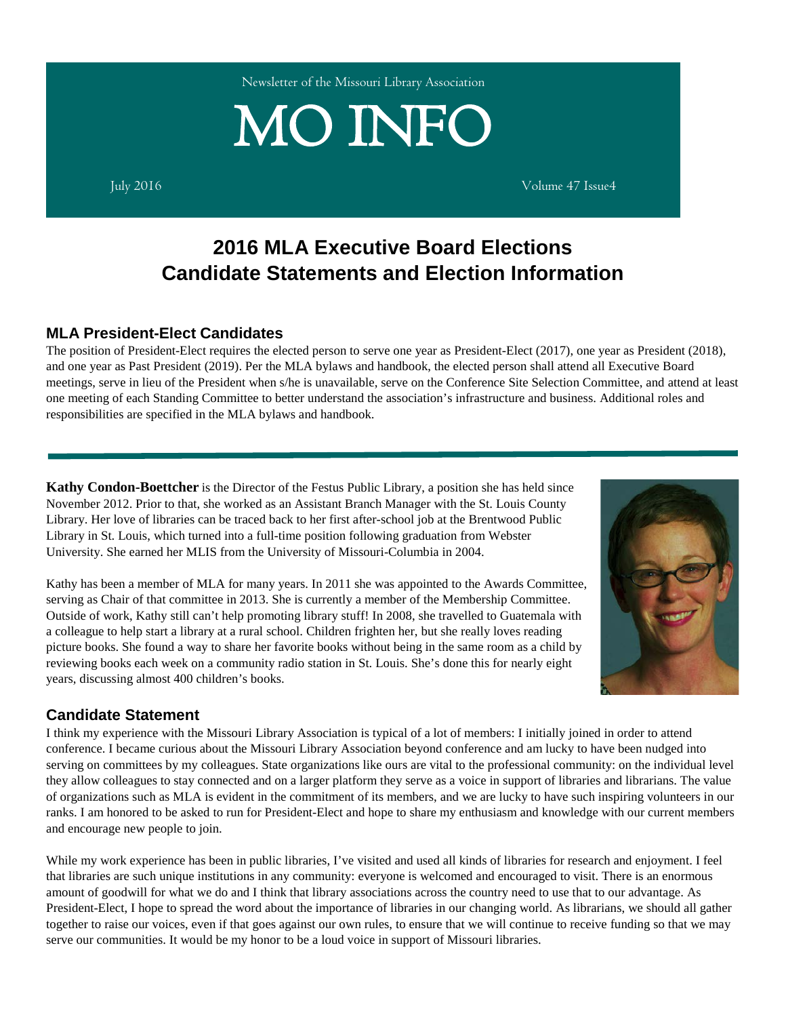Newsletter of the Missouri Library Association

# $\text{MO INFO} \hspace{1cm} \sum_{\text{July 2016}}$

# **2016 MLA Executive Board Elections Candidate Statements and Election Information**

# **MLA President-Elect Candidates**

The position of President-Elect requires the elected person to serve one year as President-Elect (2017), one year as President (2018), and one year as Past President (2019). Per the MLA bylaws and handbook, the elected person shall attend all Executive Board meetings, serve in lieu of the President when s/he is unavailable, serve on the Conference Site Selection Committee, and attend at least one meeting of each Standing Committee to better understand the association's infrastructure and business. Additional roles and responsibilities are specified in the MLA bylaws and handbook.

**Kathy Condon-Boettcher** is the Director of the Festus Public Library, a position she has held since November 2012. Prior to that, she worked as an Assistant Branch Manager with the St. Louis County Library. Her love of libraries can be traced back to her first after-school job at the Brentwood Public Library in St. Louis, which turned into a full-time position following graduation from Webster University. She earned her MLIS from the University of Missouri-Columbia in 2004.

Kathy has been a member of MLA for many years. In 2011 she was appointed to the Awards Committee, serving as Chair of that committee in 2013. She is currently a member of the Membership Committee. Outside of work, Kathy still can't help promoting library stuff! In 2008, she travelled to Guatemala with a colleague to help start a library at a rural school. Children frighten her, but she really loves reading picture books. She found a way to share her favorite books without being in the same room as a child by reviewing books each week on a community radio station in St. Louis. She's done this for nearly eight years, discussing almost 400 children's books.

# **Candidate Statement**

I think my experience with the Missouri Library Association is typical of a lot of members: I initially joined in order to attend conference. I became curious about the Missouri Library Association beyond conference and am lucky to have been nudged into serving on committees by my colleagues. State organizations like ours are vital to the professional community: on the individual level they allow colleagues to stay connected and on a larger platform they serve as a voice in support of libraries and librarians. The value of organizations such as MLA is evident in the commitment of its members, and we are lucky to have such inspiring volunteers in our ranks. I am honored to be asked to run for President-Elect and hope to share my enthusiasm and knowledge with our current members and encourage new people to join.

While my work experience has been in public libraries, I've visited and used all kinds of libraries for research and enjoyment. I feel that libraries are such unique institutions in any community: everyone is welcomed and encouraged to visit. There is an enormous amount of goodwill for what we do and I think that library associations across the country need to use that to our advantage. As President-Elect, I hope to spread the word about the importance of libraries in our changing world. As librarians, we should all gather together to raise our voices, even if that goes against our own rules, to ensure that we will continue to receive funding so that we may serve our communities. It would be my honor to be a loud voice in support of Missouri libraries.

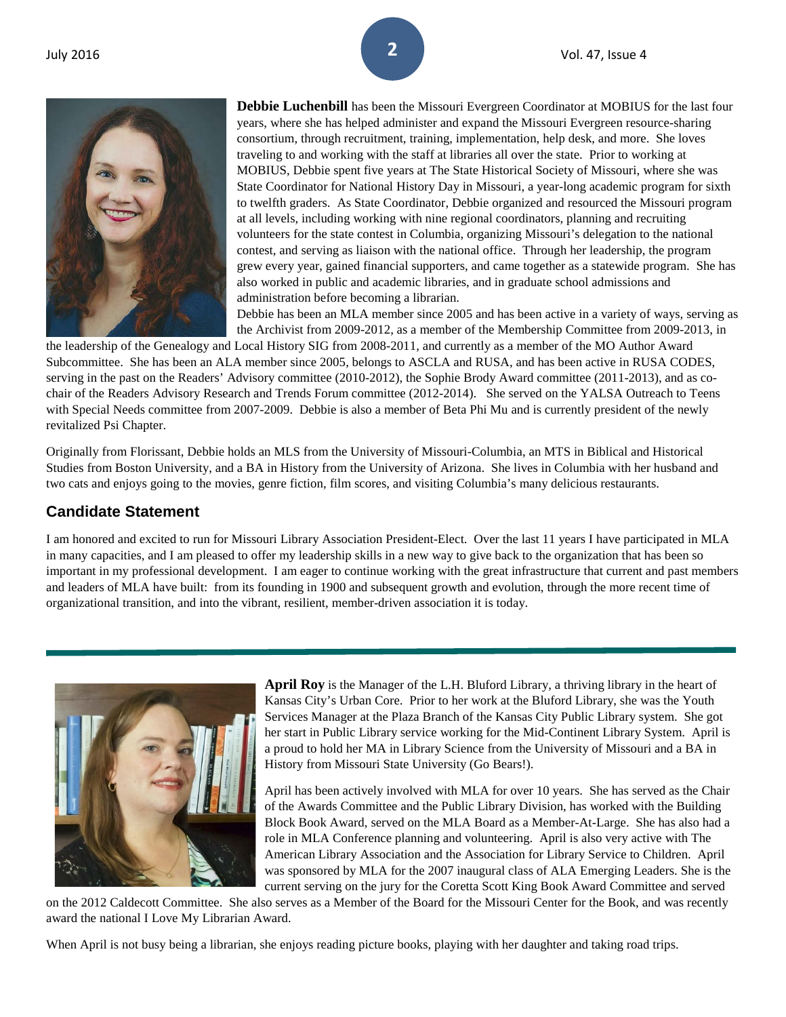

**Debbie Luchenbill** has been the Missouri Evergreen Coordinator at MOBIUS for the last four years, where she has helped administer and expand the Missouri Evergreen resource-sharing consortium, through recruitment, training, implementation, help desk, and more. She loves traveling to and working with the staff at libraries all over the state. Prior to working at MOBIUS, Debbie spent five years at The State Historical Society of Missouri, where she was State Coordinator for National History Day in Missouri, a year-long academic program for sixth to twelfth graders. As State Coordinator, Debbie organized and resourced the Missouri program at all levels, including working with nine regional coordinators, planning and recruiting volunteers for the state contest in Columbia, organizing Missouri's delegation to the national contest, and serving as liaison with the national office. Through her leadership, the program grew every year, gained financial supporters, and came together as a statewide program. She has also worked in public and academic libraries, and in graduate school admissions and administration before becoming a librarian.

Debbie has been an MLA member since 2005 and has been active in a variety of ways, serving as the Archivist from 2009-2012, as a member of the Membership Committee from 2009-2013, in

the leadership of the Genealogy and Local History SIG from 2008-2011, and currently as a member of the MO Author Award Subcommittee. She has been an ALA member since 2005, belongs to ASCLA and RUSA, and has been active in RUSA CODES, serving in the past on the Readers' Advisory committee (2010-2012), the Sophie Brody Award committee (2011-2013), and as cochair of the Readers Advisory Research and Trends Forum committee (2012-2014). She served on the YALSA Outreach to Teens with Special Needs committee from 2007-2009. Debbie is also a member of Beta Phi Mu and is currently president of the newly revitalized Psi Chapter.

Originally from Florissant, Debbie holds an MLS from the University of Missouri-Columbia, an MTS in Biblical and Historical Studies from Boston University, and a BA in History from the University of Arizona. She lives in Columbia with her husband and two cats and enjoys going to the movies, genre fiction, film scores, and visiting Columbia's many delicious restaurants.

### **Candidate Statement**

I am honored and excited to run for Missouri Library Association President-Elect. Over the last 11 years I have participated in MLA in many capacities, and I am pleased to offer my leadership skills in a new way to give back to the organization that has been so important in my professional development. I am eager to continue working with the great infrastructure that current and past members and leaders of MLA have built: from its founding in 1900 and subsequent growth and evolution, through the more recent time of organizational transition, and into the vibrant, resilient, member-driven association it is today.



**April Roy** is the Manager of the L.H. Bluford Library, a thriving library in the heart of Kansas City's Urban Core. Prior to her work at the Bluford Library, she was the Youth Services Manager at the Plaza Branch of the Kansas City Public Library system. She got her start in Public Library service working for the Mid-Continent Library System. April is a proud to hold her MA in Library Science from the University of Missouri and a BA in History from Missouri State University (Go Bears!).

April has been actively involved with MLA for over 10 years. She has served as the Chair of the Awards Committee and the Public Library Division, has worked with the Building Block Book Award, served on the MLA Board as a Member-At-Large. She has also had a role in MLA Conference planning and volunteering. April is also very active with The American Library Association and the Association for Library Service to Children. April was sponsored by MLA for the 2007 inaugural class of ALA Emerging Leaders. She is the current serving on the jury for the Coretta Scott King Book Award Committee and served

on the 2012 Caldecott Committee. She also serves as a Member of the Board for the Missouri Center for the Book, and was recently award the national I Love My Librarian Award.

When April is not busy being a librarian, she enjoys reading picture books, playing with her daughter and taking road trips.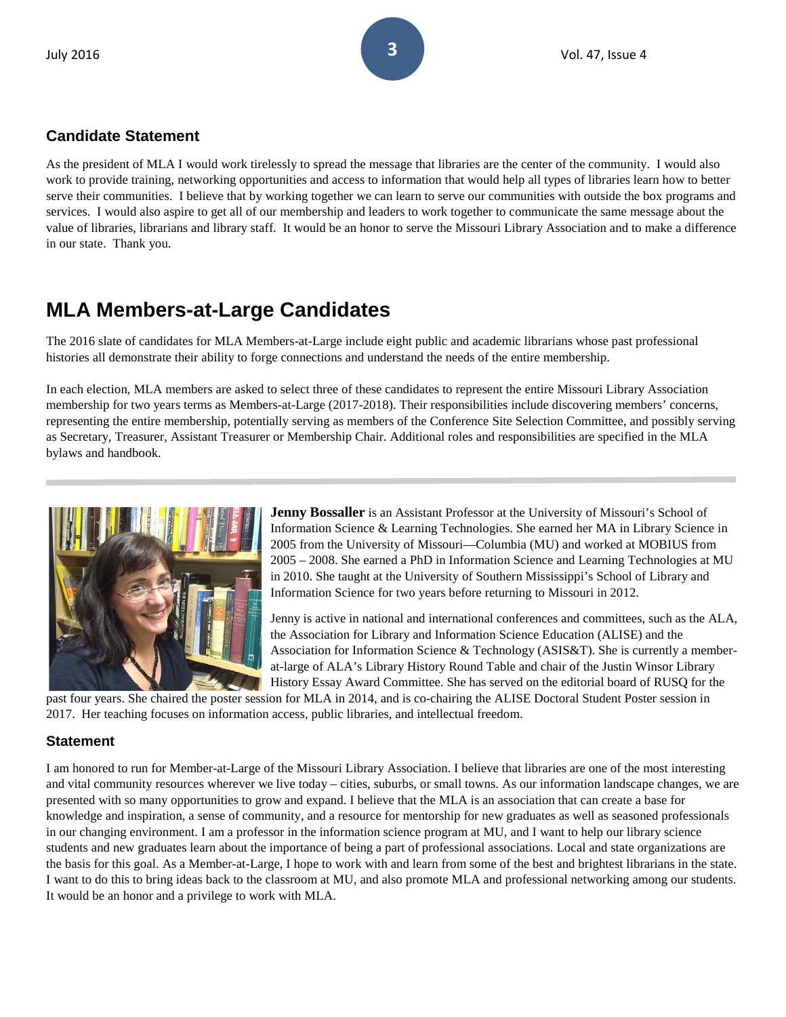# **Candidate Statement**

As the president of MLA I would work tirelessly to spread the message that libraries are the center of the community. I would also work to provide training, networking opportunities and access to information that would help all types of libraries learn how to better serve their communities. I believe that by working together we can learn to serve our communities with outside the box programs and services. I would also aspire to get all of our membership and leaders to work together to communicate the same message about the value of libraries, librarians and library staff. It would be an honor to serve the Missouri Library Association and to make a difference in our state. Thank you.

# **MLA Members-at-Large Candidates**

The 2016 slate of candidates for MLA Members-at-Large include eight public and academic librarians whose past professional histories all demonstrate their ability to forge connections and understand the needs of the entire membership.

In each election, MLA members are asked to select three of these candidates to represent the entire Missouri Library Association membership for two years terms as Members-at-Large (2017-2018). Their responsibilities include discovering members' concerns, representing the entire membership, potentially serving as members of the Conference Site Selection Committee, and possibly serving as Secretary, Treasurer, Assistant Treasurer or Membership Chair. Additional roles and responsibilities are specified in the MLA bylaws and handbook.



**Jenny Bossaller** is an Assistant Professor at the University of Missouri's School of Information Science & Learning Technologies. She earned her MA in Library Science in 2005 from the University of Missouri—Columbia (MU) and worked at MOBIUS from 2005 – 2008. She earned a PhD in Information Science and Learning Technologies at MU in 2010. She taught at the University of Southern Mississippi's School of Library and Information Science for two years before returning to Missouri in 2012.

Jenny is active in national and international conferences and committees, such as the ALA, the Association for Library and Information Science Education (ALISE) and the Association for Information Science & Technology (ASIS&T). She is currently a memberat-large of ALA's Library History Round Table and chair of the Justin Winsor Library History Essay Award Committee. She has served on the editorial board of RUSQ for the

past four years. She chaired the poster session for MLA in 2014, and is co-chairing the ALISE Doctoral Student Poster session in 2017. Her teaching focuses on information access, public libraries, and intellectual freedom.

# **Statement**

I am honored to run for Member-at-Large of the Missouri Library Association. I believe that libraries are one of the most interesting and vital community resources wherever we live today – cities, suburbs, or small towns. As our information landscape changes, we are presented with so many opportunities to grow and expand. I believe that the MLA is an association that can create a base for knowledge and inspiration, a sense of community, and a resource for mentorship for new graduates as well as seasoned professionals in our changing environment. I am a professor in the information science program at MU, and I want to help our library science students and new graduates learn about the importance of being a part of professional associations. Local and state organizations are the basis for this goal. As a Member-at-Large, I hope to work with and learn from some of the best and brightest librarians in the state. I want to do this to bring ideas back to the classroom at MU, and also promote MLA and professional networking among our students. It would be an honor and a privilege to work with MLA.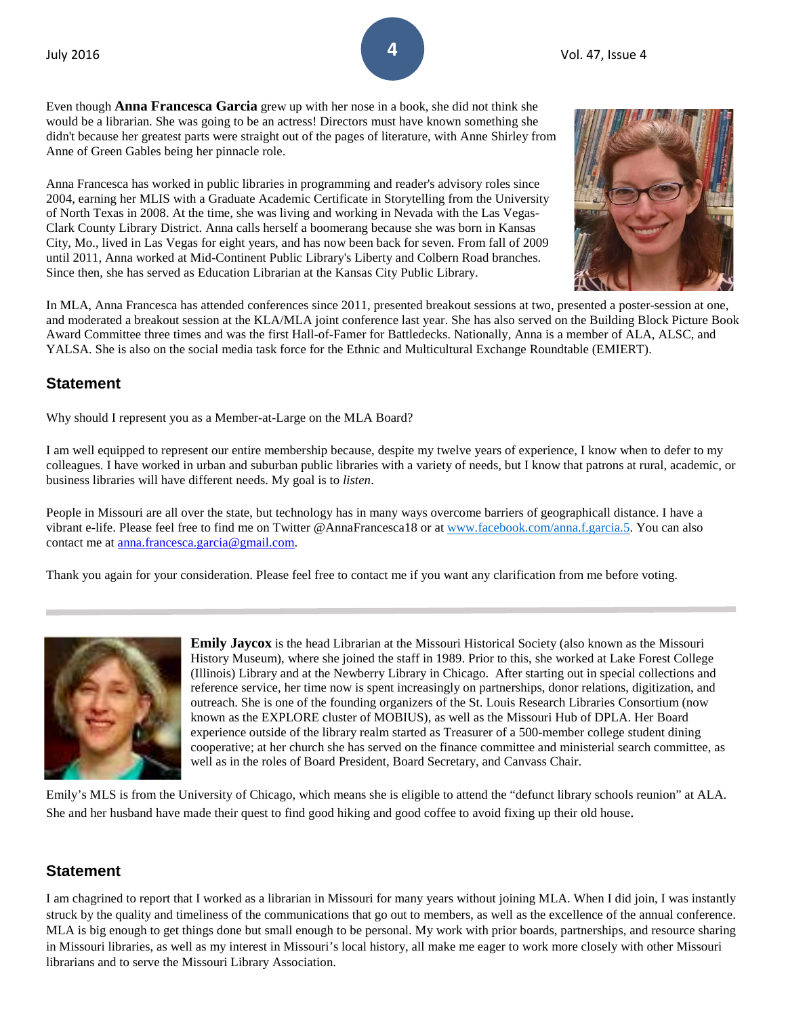Even though **Anna Francesca Garcia** grew up with her nose in a book, she did not think she would be a librarian. She was going to be an actress! Directors must have known something she didn't because her greatest parts were straight out of the pages of literature, with Anne Shirley from Anne of Green Gables being her pinnacle role.

Anna Francesca has worked in public libraries in programming and reader's advisory roles since 2004, earning her MLIS with a Graduate Academic Certificate in Storytelling from the University of North Texas in 2008. At the time, she was living and working in Nevada with the Las Vegas-Clark County Library District. Anna calls herself a boomerang because she was born in Kansas City, Mo., lived in Las Vegas for eight years, and has now been back for seven. From fall of 2009 until 2011, Anna worked at Mid-Continent Public Library's Liberty and Colbern Road branches. Since then, she has served as Education Librarian at the Kansas City Public Library.



In MLA, Anna Francesca has attended conferences since 2011, presented breakout sessions at two, presented a poster-session at one, and moderated a breakout session at the KLA/MLA joint conference last year. She has also served on the Building Block Picture Book Award Committee three times and was the first Hall-of-Famer for Battledecks. Nationally, Anna is a member of ALA, ALSC, and YALSA. She is also on the social media task force for the Ethnic and Multicultural Exchange Roundtable (EMIERT).

### **Statement**

Why should I represent you as a Member-at-Large on the MLA Board?

I am well equipped to represent our entire membership because, despite my twelve years of experience, I know when to defer to my colleagues. I have worked in urban and suburban public libraries with a variety of needs, but I know that patrons at rural, academic, or business libraries will have different needs. My goal is to *listen*.

People in Missouri are all over the state, but technology has in many ways overcome barriers of geographicall distance. I have a vibrant e-life. Please feel free to find me on Twitter @AnnaFrancesca18 or at [www.facebook.com/anna.f.garcia.5.](https://mail.google.com/mail/u/0/www.facebook.com/anna.f.garcia.5) You can also contact me at [anna.francesca.garcia@gmail.com.](mailto:anna.francesca.garcia@gmail.com) 

Thank you again for your consideration. Please feel free to contact me if you want any clarification from me before voting.



**Emily Jaycox** is the head Librarian at the Missouri Historical Society (also known as the Missouri History Museum), where she joined the staff in 1989. Prior to this, she worked at Lake Forest College (Illinois) Library and at the Newberry Library in Chicago. After starting out in special collections and reference service, her time now is spent increasingly on partnerships, donor relations, digitization, and outreach. She is one of the founding organizers of the St. Louis Research Libraries Consortium (now known as the EXPLORE cluster of MOBIUS), as well as the Missouri Hub of DPLA. Her Board experience outside of the library realm started as Treasurer of a 500-member college student dining cooperative; at her church she has served on the finance committee and ministerial search committee, as well as in the roles of Board President, Board Secretary, and Canvass Chair.

Emily's MLS is from the University of Chicago, which means she is eligible to attend the "defunct library schools reunion" at ALA. She and her husband have made their quest to find good hiking and good coffee to avoid fixing up their old house.

# **Statement**

I am chagrined to report that I worked as a librarian in Missouri for many years without joining MLA. When I did join, I was instantly struck by the quality and timeliness of the communications that go out to members, as well as the excellence of the annual conference. MLA is big enough to get things done but small enough to be personal. My work with prior boards, partnerships, and resource sharing in Missouri libraries, as well as my interest in Missouri's local history, all make me eager to work more closely with other Missouri librarians and to serve the Missouri Library Association.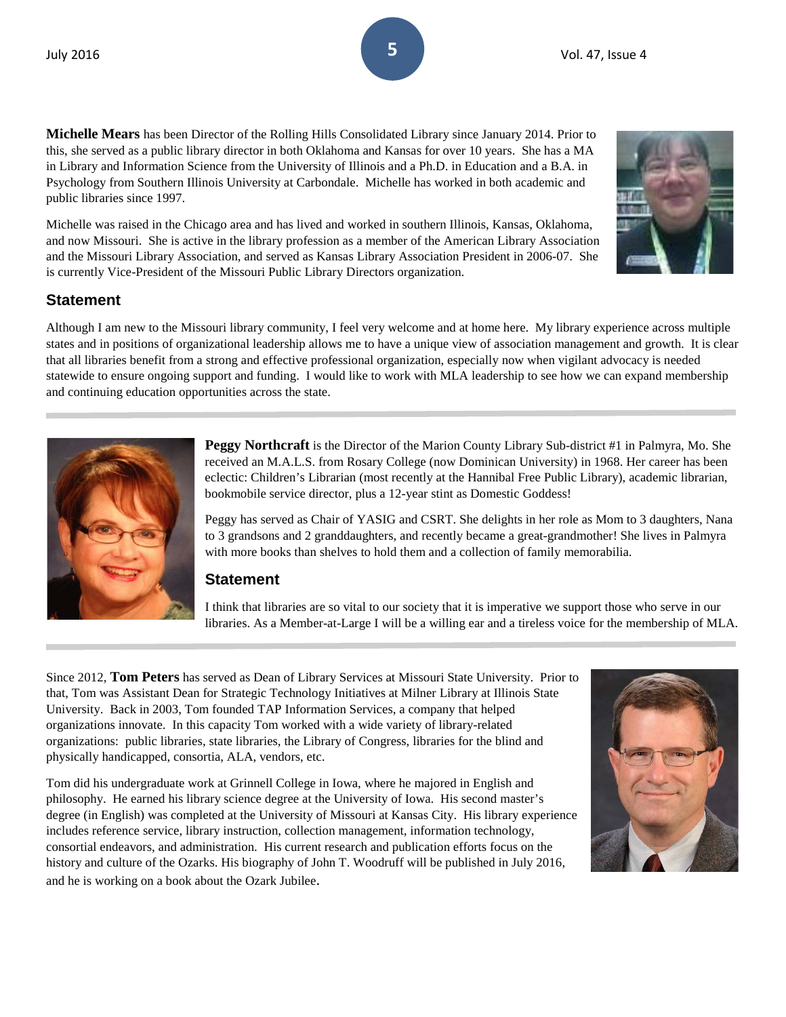**Michelle Mears** has been Director of the Rolling Hills Consolidated Library since January 2014. Prior to this, she served as a public library director in both Oklahoma and Kansas for over 10 years. She has a MA in Library and Information Science from the University of Illinois and a Ph.D. in Education and a B.A. in Psychology from Southern Illinois University at Carbondale. Michelle has worked in both academic and public libraries since 1997.

Michelle was raised in the Chicago area and has lived and worked in southern Illinois, Kansas, Oklahoma, and now Missouri. She is active in the library profession as a member of the American Library Association and the Missouri Library Association, and served as Kansas Library Association President in 2006-07. She is currently Vice-President of the Missouri Public Library Directors organization.

# **Statement**

Although I am new to the Missouri library community, I feel very welcome and at home here. My library experience across multiple states and in positions of organizational leadership allows me to have a unique view of association management and growth. It is clear that all libraries benefit from a strong and effective professional organization, especially now when vigilant advocacy is needed statewide to ensure ongoing support and funding. I would like to work with MLA leadership to see how we can expand membership and continuing education opportunities across the state.



**Peggy Northcraft** is the Director of the Marion County Library Sub-district #1 in Palmyra, Mo. She received an M.A.L.S. from Rosary College (now Dominican University) in 1968. Her career has been eclectic: Children's Librarian (most recently at the Hannibal Free Public Library), academic librarian, bookmobile service director, plus a 12-year stint as Domestic Goddess!

Peggy has served as Chair of YASIG and CSRT. She delights in her role as Mom to 3 daughters, Nana to 3 grandsons and 2 granddaughters, and recently became a great-grandmother! She lives in Palmyra with more books than shelves to hold them and a collection of family memorabilia.

# **Statement**

I think that libraries are so vital to our society that it is imperative we support those who serve in our libraries. As a Member-at-Large I will be a willing ear and a tireless voice for the membership of MLA.

Since 2012, **Tom Peters** has served as Dean of Library Services at Missouri State University. Prior to that, Tom was Assistant Dean for Strategic Technology Initiatives at Milner Library at Illinois State University. Back in 2003, Tom founded TAP Information Services, a company that helped organizations innovate. In this capacity Tom worked with a wide variety of library-related organizations: public libraries, state libraries, the Library of Congress, libraries for the blind and physically handicapped, consortia, ALA, vendors, etc.

Tom did his undergraduate work at Grinnell College in Iowa, where he majored in English and philosophy. He earned his library science degree at the University of Iowa. His second master's degree (in English) was completed at the University of Missouri at Kansas City. His library experience includes reference service, library instruction, collection management, information technology, consortial endeavors, and administration. His current research and publication efforts focus on the history and culture of the Ozarks. His biography of John T. Woodruff will be published in July 2016, and he is working on a book about the Ozark Jubilee.



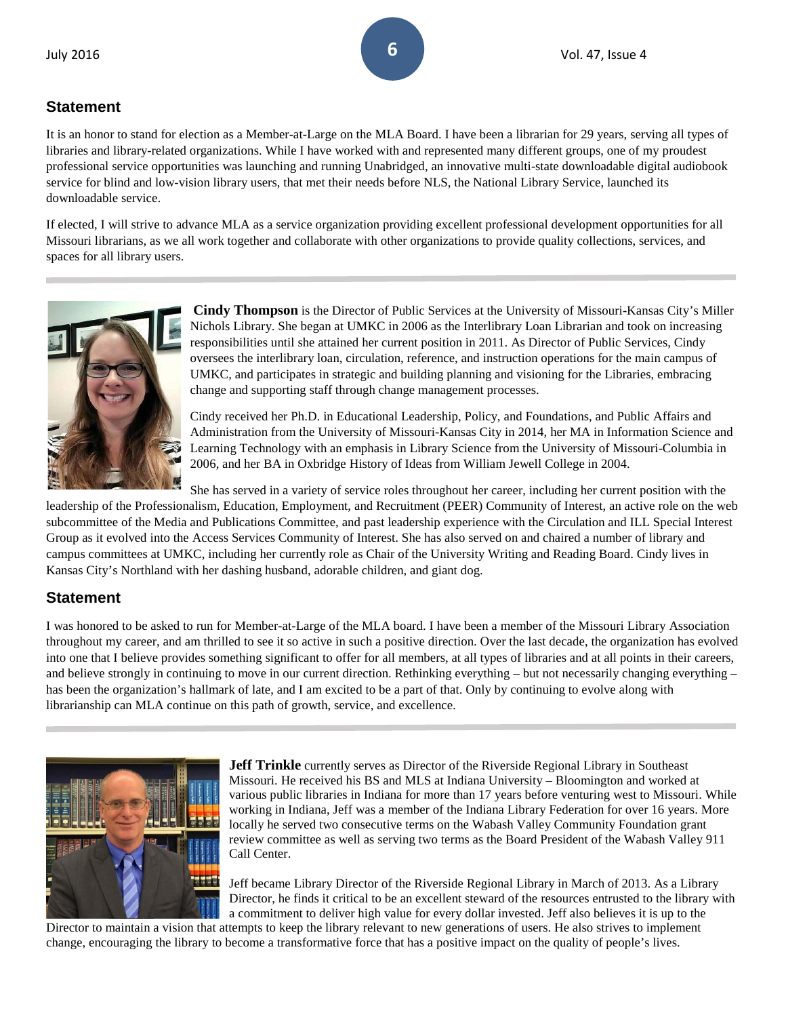# **Statement**

It is an honor to stand for election as a Member-at-Large on the MLA Board. I have been a librarian for 29 years, serving all types of libraries and library-related organizations. While I have worked with and represented many different groups, one of my proudest professional service opportunities was launching and running Unabridged, an innovative multi-state downloadable digital audiobook service for blind and low-vision library users, that met their needs before NLS, the National Library Service, launched its downloadable service.

If elected, I will strive to advance MLA as a service organization providing excellent professional development opportunities for all Missouri librarians, as we all work together and collaborate with other organizations to provide quality collections, services, and spaces for all library users.



**Cindy Thompson** is the Director of Public Services at the University of Missouri-Kansas City's Miller Nichols Library. She began at UMKC in 2006 as the Interlibrary Loan Librarian and took on increasing responsibilities until she attained her current position in 2011. As Director of Public Services, Cindy oversees the interlibrary loan, circulation, reference, and instruction operations for the main campus of UMKC, and participates in strategic and building planning and visioning for the Libraries, embracing change and supporting staff through change management processes.

Cindy received her Ph.D. in Educational Leadership, Policy, and Foundations, and Public Affairs and Administration from the University of Missouri-Kansas City in 2014, her MA in Information Science and Learning Technology with an emphasis in Library Science from the University of Missouri-Columbia in 2006, and her BA in Oxbridge History of Ideas from William Jewell College in 2004.

She has served in a variety of service roles throughout her career, including her current position with the leadership of the Professionalism, Education, Employment, and Recruitment (PEER) Community of Interest, an active role on the web subcommittee of the Media and Publications Committee, and past leadership experience with the Circulation and ILL Special Interest Group as it evolved into the Access Services Community of Interest. She has also served on and chaired a number of library and campus committees at UMKC, including her currently role as Chair of the University Writing and Reading Board. Cindy lives in Kansas City's Northland with her dashing husband, adorable children, and giant dog.

# **Statement**

I was honored to be asked to run for Member-at-Large of the MLA board. I have been a member of the Missouri Library Association throughout my career, and am thrilled to see it so active in such a positive direction. Over the last decade, the organization has evolved into one that I believe provides something significant to offer for all members, at all types of libraries and at all points in their careers, and believe strongly in continuing to move in our current direction. Rethinking everything – but not necessarily changing everything – has been the organization's hallmark of late, and I am excited to be a part of that. Only by continuing to evolve along with librarianship can MLA continue on this path of growth, service, and excellence.



**Jeff Trinkle** currently serves as Director of the Riverside Regional Library in Southeast Missouri. He received his BS and MLS at Indiana University – Bloomington and worked at various public libraries in Indiana for more than 17 years before venturing west to Missouri. While working in Indiana, Jeff was a member of the Indiana Library Federation for over 16 years. More locally he served two consecutive terms on the Wabash Valley Community Foundation grant review committee as well as serving two terms as the Board President of the Wabash Valley 911 Call Center.

Jeff became Library Director of the Riverside Regional Library in March of 2013. As a Library Director, he finds it critical to be an excellent steward of the resources entrusted to the library with a commitment to deliver high value for every dollar invested. Jeff also believes it is up to the

Director to maintain a vision that attempts to keep the library relevant to new generations of users. He also strives to implement change, encouraging the library to become a transformative force that has a positive impact on the quality of people's lives.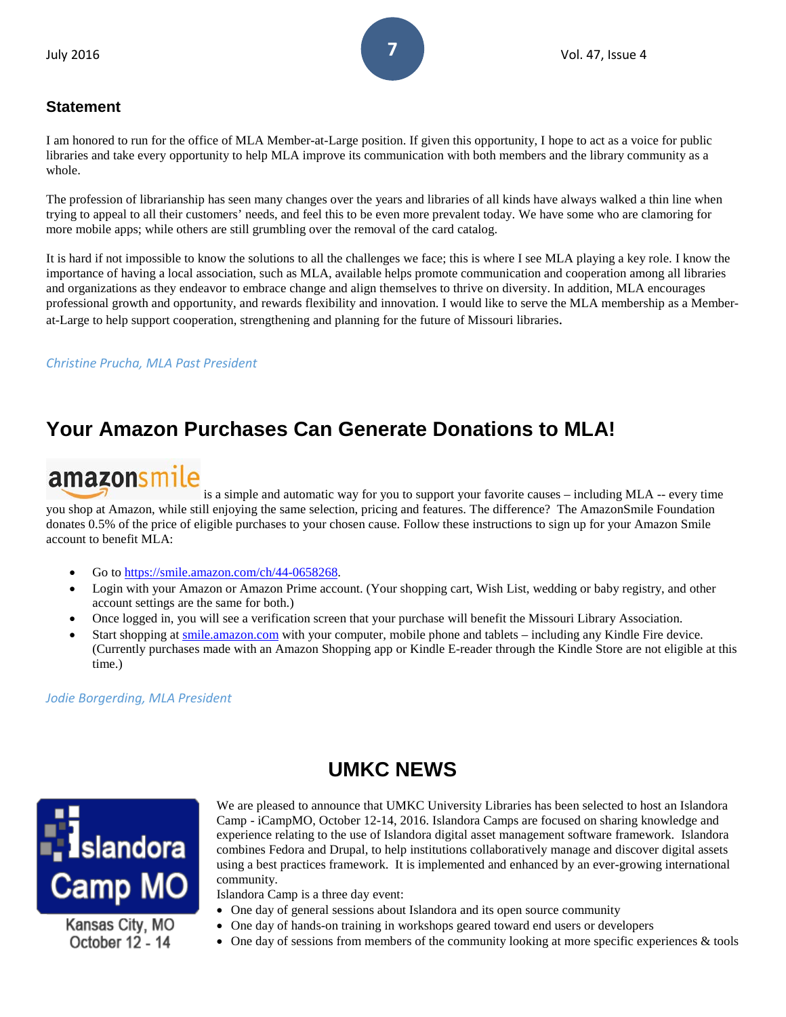# **Statement**

I am honored to run for the office of MLA Member-at-Large position. If given this opportunity, I hope to act as a voice for public libraries and take every opportunity to help MLA improve its communication with both members and the library community as a whole.

The profession of librarianship has seen many changes over the years and libraries of all kinds have always walked a thin line when trying to appeal to all their customers' needs, and feel this to be even more prevalent today. We have some who are clamoring for more mobile apps; while others are still grumbling over the removal of the card catalog.

It is hard if not impossible to know the solutions to all the challenges we face; this is where I see MLA playing a key role. I know the importance of having a local association, such as MLA, available helps promote communication and cooperation among all libraries and organizations as they endeavor to embrace change and align themselves to thrive on diversity. In addition, MLA encourages professional growth and opportunity, and rewards flexibility and innovation. I would like to serve the MLA membership as a Memberat-Large to help support cooperation, strengthening and planning for the future of Missouri libraries.

# *Christine Prucha, MLA Past President*

# **Your Amazon Purchases Can Generate Donations to MLA!**

# amazonsmile

is a simple and automatic way for you to support your favorite causes – including MLA -- every time you shop at Amazon, while still enjoying the same selection, pricing and features. The difference? The AmazonSmile Foundation donates 0.5% of the price of eligible purchases to your chosen cause. Follow these instructions to sign up for your Amazon Smile account to benefit MLA:

- Go to [https://smile.amazon.com/ch/44-0658268.](https://smile.amazon.com/ch/44-0658268)
- Login with your Amazon or Amazon Prime account. (Your shopping cart, Wish List, wedding or baby registry, and other account settings are the same for both.)
- Once logged in, you will see a verification screen that your purchase will benefit the Missouri Library Association.
- Start shopping at [smile.amazon.com](https://smile.amazon.com/ch/44-0658268) with your computer, mobile phone and tablets including any Kindle Fire device. (Currently purchases made with an Amazon Shopping app or Kindle E-reader through the Kindle Store are not eligible at this time.)

*Jodie Borgerding, MLA President*

# **UMKC NEWS**



Kansas City, MO October 12 - 14

We are pleased to announce that UMKC University Libraries has been selected to host an Islandora Camp - iCampMO, October 12-14, 2016. Islandora Camps are focused on sharing knowledge and experience relating to the use of Islandora digital asset management software framework. Islandora combines Fedora and Drupal, to help institutions collaboratively manage and discover digital assets using a best practices framework. It is implemented and enhanced by an ever-growing international community.

Islandora Camp is a three day event:

- One day of general sessions about Islandora and its open source community
- One day of hands-on training in workshops geared toward end users or developers
	- One day of sessions from members of the community looking at more specific experiences & tools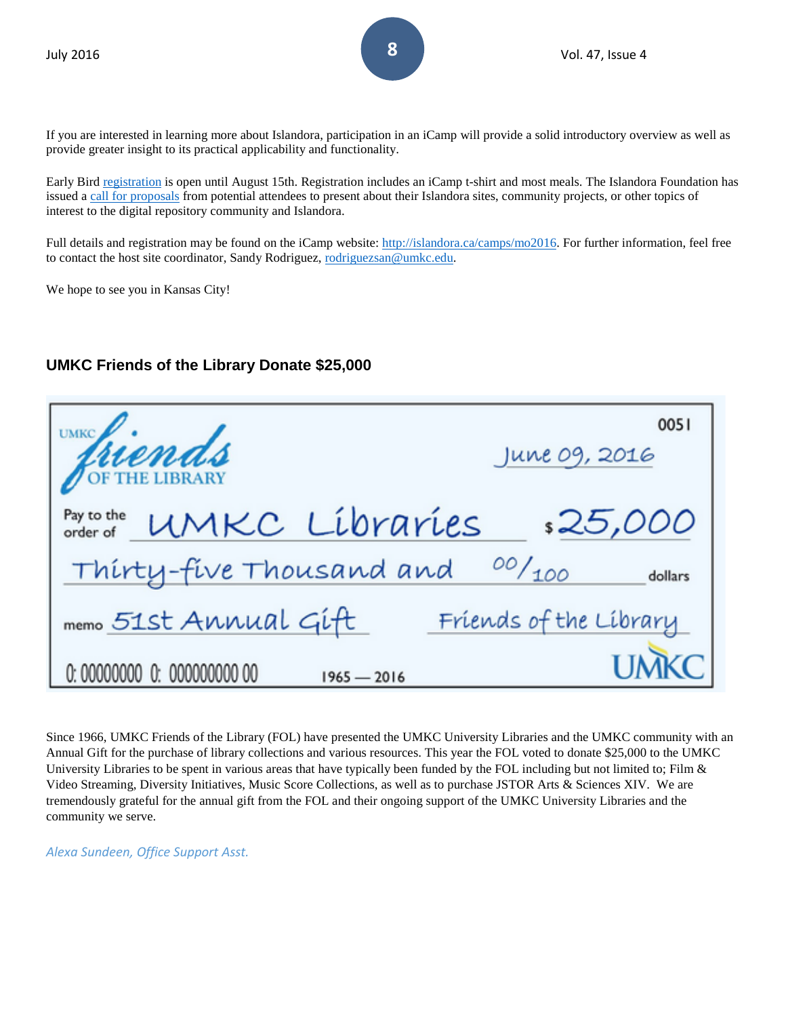If you are interested in learning more about Islandora, participation in an iCamp will provide a solid introductory overview as well as provide greater insight to its practical applicability and functionality.

Early Bird [registration](http://islandora.ca/camps/mo2016/registration) is open until August 15th. Registration includes an iCamp t-shirt and most meals. The Islandora Foundation has issued a [call for proposals](http://islandora.ca/content/islandora-camp-mo-2016-call-proposals) from potential attendees to present about their Islandora sites, community projects, or other topics of interest to the digital repository community and Islandora.

Full details and registration may be found on the iCamp website: [http://islandora.ca/camps/mo2016.](http://islandora.ca/camps/mo2016) For further information, feel free to contact the host site coordinator, Sandy Rodriguez, [rodriguezsan@umkc.edu.](mailto:rodriguezsan@umkc.edu)

We hope to see you in Kansas City!

# **UMKC Friends of the Library Donate \$25,000**

| Priends                                      | 0051<br>June 09, 2016     |
|----------------------------------------------|---------------------------|
| " UMKC Líbraríes<br>Pay to the<br>order of   | \$25,000                  |
| Thirty-five Thousand and                     | $^{00}/_{100}$<br>dollars |
| memo 51st Annual Gift                        | Friends of the Library    |
| 0: 00000000 0: 000000000 00<br>$1965 - 2016$ |                           |

Since 1966, UMKC Friends of the Library (FOL) have presented the UMKC University Libraries and the UMKC community with an Annual Gift for the purchase of library collections and various resources. This year the FOL voted to donate \$25,000 to the UMKC University Libraries to be spent in various areas that have typically been funded by the FOL including but not limited to; Film  $\&$ Video Streaming, Diversity Initiatives, Music Score Collections, as well as to purchase JSTOR Arts & Sciences XIV. We are tremendously grateful for the annual gift from the FOL and their ongoing support of the UMKC University Libraries and the community we serve.

*Alexa Sundeen, Office Support Asst.*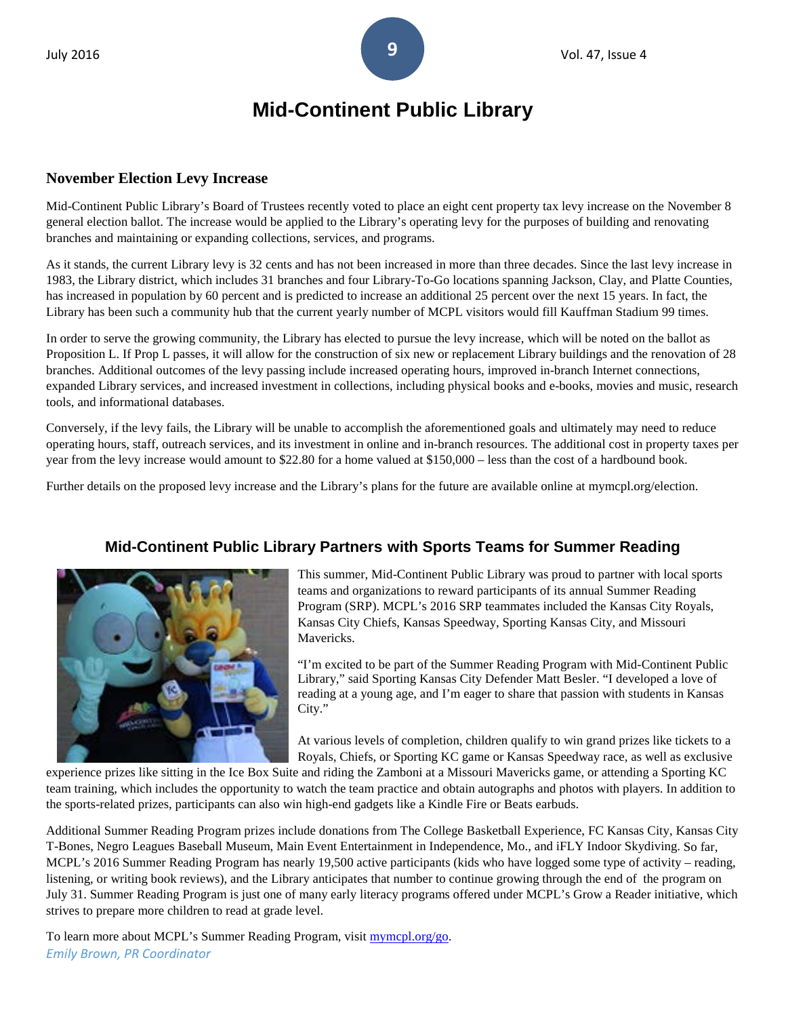# **Mid-Continent Public Library**

### **November Election Levy Increase**

Mid-Continent Public Library's Board of Trustees recently voted to place an eight cent property tax levy increase on the November 8 general election ballot. The increase would be applied to the Library's operating levy for the purposes of building and renovating branches and maintaining or expanding collections, services, and programs.

As it stands, the current Library levy is 32 cents and has not been increased in more than three decades. Since the last levy increase in 1983, the Library district, which includes 31 branches and four Library-To-Go locations spanning Jackson, Clay, and Platte Counties, has increased in population by 60 percent and is predicted to increase an additional 25 percent over the next 15 years. In fact, the Library has been such a community hub that the current yearly number of MCPL visitors would fill Kauffman Stadium 99 times.

In order to serve the growing community, the Library has elected to pursue the levy increase, which will be noted on the ballot as Proposition L. If Prop L passes, it will allow for the construction of six new or replacement Library buildings and the renovation of 28 branches. Additional outcomes of the levy passing include increased operating hours, improved in-branch Internet connections, expanded Library services, and increased investment in collections, including physical books and e-books, movies and music, research tools, and informational databases.

Conversely, if the levy fails, the Library will be unable to accomplish the aforementioned goals and ultimately may need to reduce operating hours, staff, outreach services, and its investment in online and in-branch resources. The additional cost in property taxes per year from the levy increase would amount to \$22.80 for a home valued at \$150,000 – less than the cost of a hardbound book.

Further details on the proposed levy increase and the Library's plans for the future are available online at mymcpl.org/election.



# **Mid-Continent Public Library Partners with Sports Teams for Summer Reading**

This summer, Mid-Continent Public Library was proud to partner with local sports teams and organizations to reward participants of its annual Summer Reading Program (SRP). MCPL's 2016 SRP teammates included the Kansas City Royals, Kansas City Chiefs, Kansas Speedway, Sporting Kansas City, and Missouri Mavericks.

"I'm excited to be part of the Summer Reading Program with Mid-Continent Public Library," said Sporting Kansas City Defender Matt Besler. "I developed a love of reading at a young age, and I'm eager to share that passion with students in Kansas City."

At various levels of completion, children qualify to win grand prizes like tickets to a Royals, Chiefs, or Sporting KC game or Kansas Speedway race, as well as exclusive

experience prizes like sitting in the Ice Box Suite and riding the Zamboni at a Missouri Mavericks game, or attending a Sporting KC team training, which includes the opportunity to watch the team practice and obtain autographs and photos with players. In addition to the sports-related prizes, participants can also win high-end gadgets like a Kindle Fire or Beats earbuds.

Additional Summer Reading Program prizes include donations from The College Basketball Experience, FC Kansas City, Kansas City T-Bones, Negro Leagues Baseball Museum, Main Event Entertainment in Independence, Mo., and iFLY Indoor Skydiving. So far, MCPL's 2016 Summer Reading Program has nearly 19,500 active participants (kids who have logged some type of activity – reading, listening, or writing book reviews), and the Library anticipates that number to continue growing through the end of the program on July 31. Summer Reading Program is just one of many early literacy programs offered under MCPL's Grow a Reader initiative, which strives to prepare more children to read at grade level.

To learn more about MCPL's Summer Reading Program, visit [mymcpl.org/go.](http://www.mymcpl.org/kids/srp) *Emily Brown, PR Coordinator*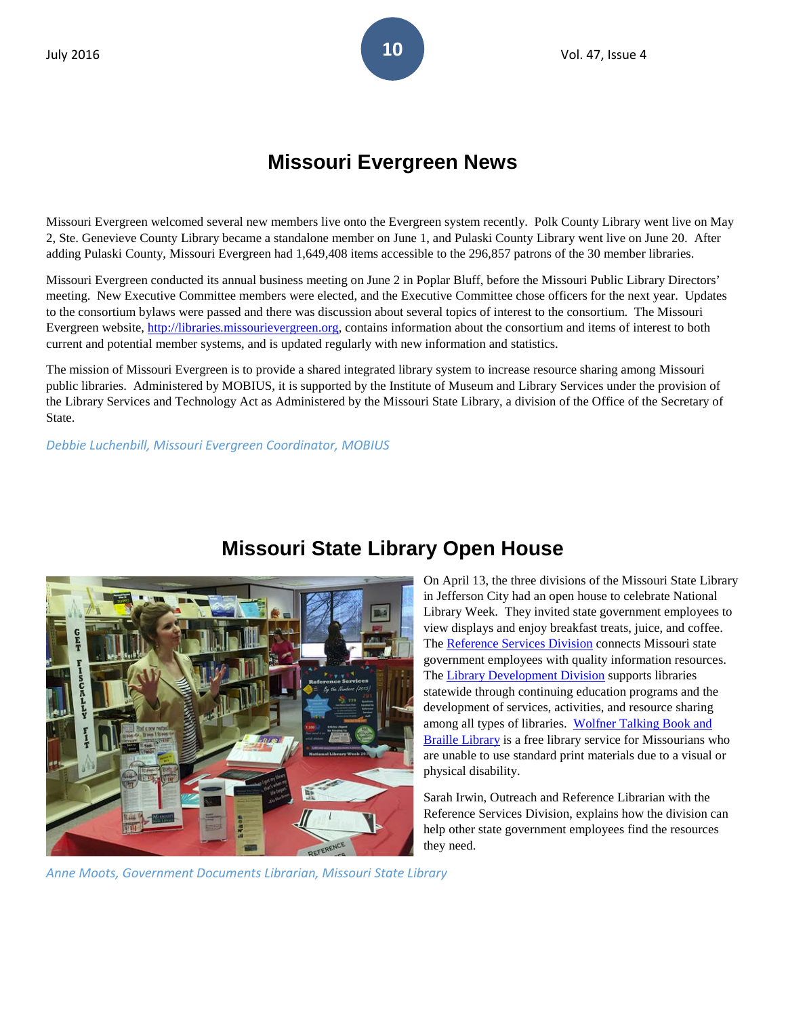# **Missouri Evergreen News**

Missouri Evergreen welcomed several new members live onto the Evergreen system recently. Polk County Library went live on May 2, Ste. Genevieve County Library became a standalone member on June 1, and Pulaski County Library went live on June 20. After adding Pulaski County, Missouri Evergreen had 1,649,408 items accessible to the 296,857 patrons of the 30 member libraries.

Missouri Evergreen conducted its annual business meeting on June 2 in Poplar Bluff, before the Missouri Public Library Directors' meeting. New Executive Committee members were elected, and the Executive Committee chose officers for the next year. Updates to the consortium bylaws were passed and there was discussion about several topics of interest to the consortium. The Missouri Evergreen website, [http://libraries.missourievergreen.org,](http://libraries.missourievergreen.org/) contains information about the consortium and items of interest to both current and potential member systems, and is updated regularly with new information and statistics.

The mission of Missouri Evergreen is to provide a shared integrated library system to increase resource sharing among Missouri public libraries. Administered by MOBIUS, it is supported by the Institute of Museum and Library Services under the provision of the Library Services and Technology Act as Administered by the Missouri State Library, a division of the Office of the Secretary of State.

*Debbie Luchenbill, Missouri Evergreen Coordinator, MOBIUS*



# **Missouri State Library Open House**

On April 13, the three divisions of the Missouri State Library in Jefferson City had an open house to celebrate National Library Week. They invited state government employees to view displays and enjoy breakfast treats, juice, and coffee. The [Reference Services Division](http://mostate.libguides.com/reference/) connects Missouri state government employees with quality information resources. The [Library Development Division](http://www.sos.mo.gov/library/development/) supports libraries statewide through continuing education programs and the development of services, activities, and resource sharing among all types of libraries. Wolfner Talking Book and [Braille Library](http://www.sos.mo.gov/wolfner/) is a free library service for Missourians who are unable to use standard print materials due to a visual or physical disability.

Sarah Irwin, Outreach and Reference Librarian with the [Reference Services Division,](http://mostate.libguides.com/reference/) explains how the division can help other state government employees find the resources they need.

*Anne Moots, Government Documents Librarian, Missouri State Library*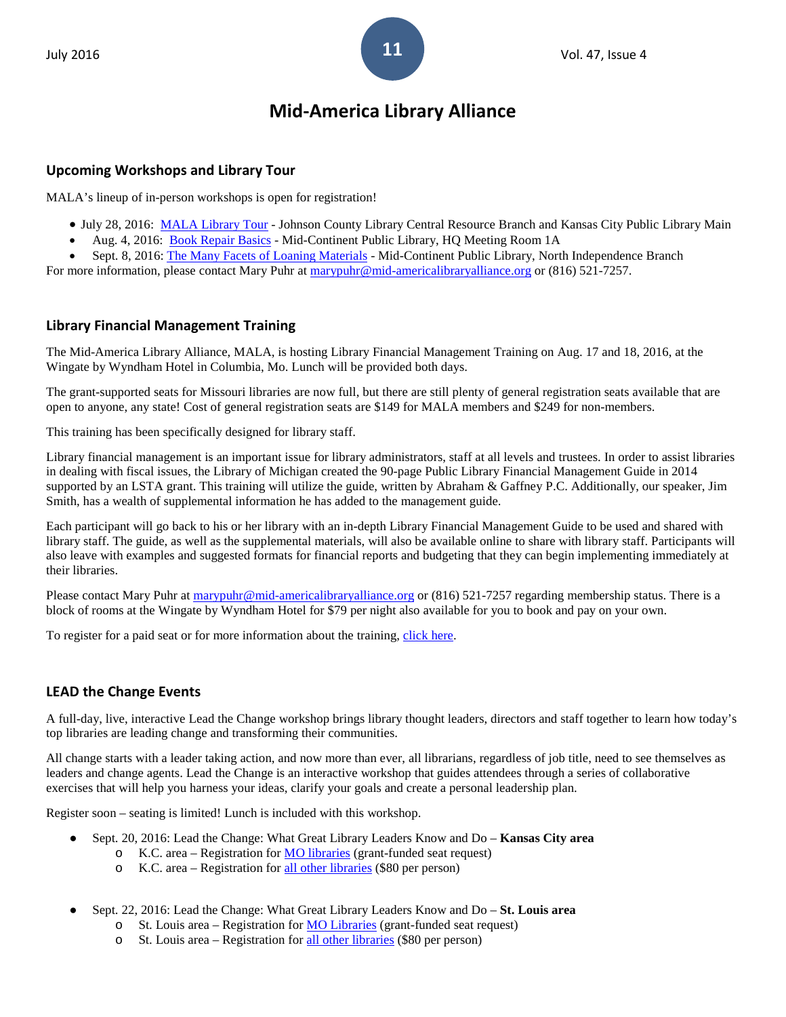# **Mid-America Library Alliance**

### **Upcoming Workshops and Library Tour**

MALA's lineup of in-person workshops is open for registration!

- July 28, 2016: [MALA Library Tour](http://events.r20.constantcontact.com/register/event?llr=twjxfteab&oeidk=a07ecbzvoipe67d8b85) Johnson County Library Central Resource Branch and Kansas City Public Library Main
- Aug. 4, 2016: [Book Repair Basics](http://events.r20.constantcontact.com/register/event?llr=twjxfteab&oeidk=a07ectmptp3b2512191) Mid-Continent Public Library, HQ Meeting Room 1A
- Sept. 8, 2016: [The Many Facets of Loaning Materials](http://events.r20.constantcontact.com/register/event?llr=twjxfteab&oeidk=a07ectthnq5845db69f) Mid-Continent Public Library, North Independence Branch

For more information, please contact Mary Puhr at [marypuhr@mid-americalibraryalliance.org](mailto:marypuhr@mid-americalibraryalliance.org) or (816) 521-7257.

### **Library Financial Management Training**

The Mid-America Library Alliance, MALA, is hosting Library Financial Management Training on Aug. 17 and 18, 2016, at the Wingate by Wyndham Hotel in Columbia, Mo. Lunch will be provided both days.

The grant-supported seats for Missouri libraries are now full, but there are still plenty of general registration seats available that are open to anyone, any state! Cost of general registration seats are \$149 for MALA members and \$249 for non-members.

This training has been specifically designed for library staff.

Library financial management is an important issue for library administrators, staff at all levels and trustees. In order to assist libraries in dealing with fiscal issues, the Library of Michigan created the 90-page Public Library Financial Management Guide in 2014 supported by an LSTA grant. This training will utilize the guide, written by Abraham & Gaffney P.C. Additionally, our speaker, Jim Smith, has a wealth of supplemental information he has added to the management guide.

Each participant will go back to his or her library with an in-depth Library Financial Management Guide to be used and shared with library staff. The guide, as well as the supplemental materials, will also be available online to share with library staff. Participants will also leave with examples and suggested formats for financial reports and budgeting that they can begin implementing immediately at their libraries.

Please contact Mary Puhr a[t marypuhr@mid-americalibraryalliance.org](mailto:marypuhr@mid-americalibraryalliance.org) or (816) 521-7257 regarding membership status. There is a block of rooms at the Wingate by Wyndham Hotel for \$79 per night also available for you to book and pay on your own.

To register for a paid seat or for more information about the training, [click here.](http://events.r20.constantcontact.com/register/event?oeidk=a07ecsifa2qb4ba6431&llr=twjxfteab)

# **LEAD the Change Events**

A full-day, live, interactive Lead the Change workshop brings library thought leaders, directors and staff together to learn how today's top libraries are leading change and transforming their communities.

All change starts with a leader taking action, and now more than ever, all librarians, regardless of job title, need to see themselves as leaders and change agents. Lead the Change is an interactive workshop that guides attendees through a series of collaborative exercises that will help you harness your ideas, clarify your goals and create a personal leadership plan.

Register soon – seating is limited! Lunch is included with this workshop.

- Sept. 20, 2016: Lead the Change: What Great Library Leaders Know and Do **Kansas City area**
	- o K.C. area Registration for **MO** libraries (grant-funded seat request)
	- o K.C. area Registration for [all other libraries](http://events.r20.constantcontact.com/register/event?llr=twjxfteab&oeidk=a07ec8vbhyxa56e3e49) (\$80 per person)
- Sept. 22, 2016: Lead the Change: What Great Library Leaders Know and Do **St. Louis area**
	- o St. Louis area Registration for [MO Libraries](http://events.r20.constantcontact.com/register/event?llr=twjxfteab&oeidk=a07ec8ys2g30ab05535) (grant-funded seat request)
	- o St. Louis area Registration for [all other libraries](http://events.r20.constantcontact.com/register/event?llr=twjxfteab&oeidk=a07ec8vssyq9c3532a6) (\$80 per person)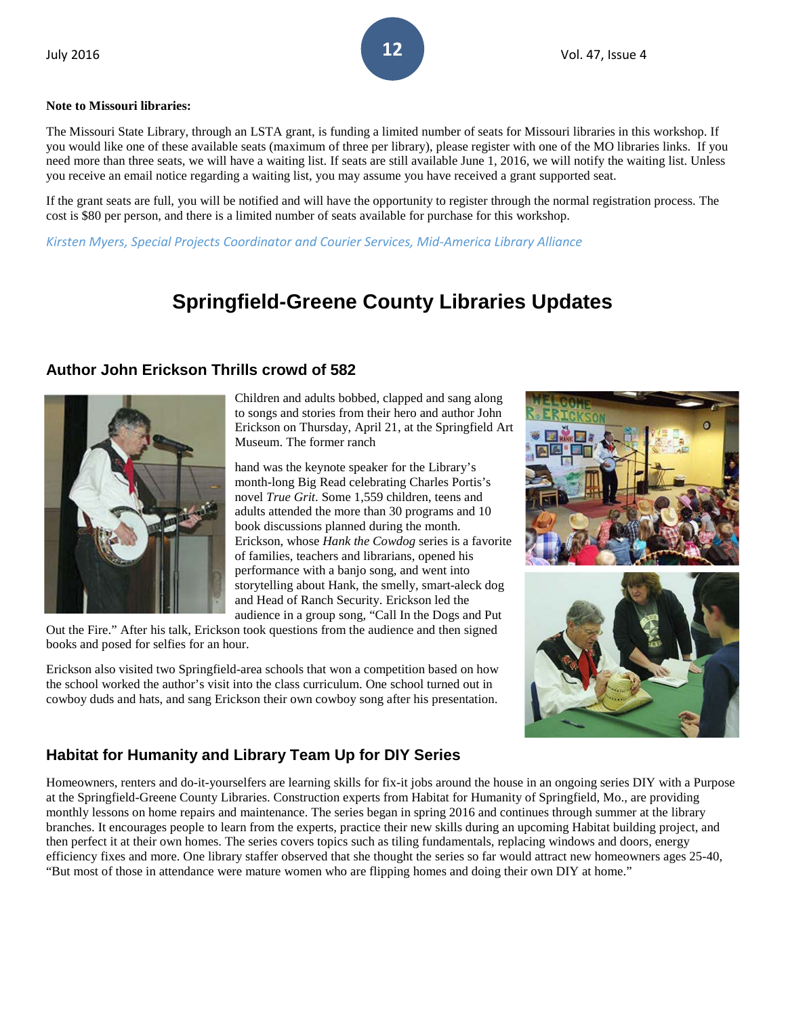### **Note to Missouri libraries:**

The Missouri State Library, through an LSTA grant, is funding a limited number of seats for Missouri libraries in this workshop. If you would like one of these available seats (maximum of three per library), please register with one of the MO libraries links. If you need more than three seats, we will have a waiting list. If seats are still available June 1, 2016, we will notify the waiting list. Unless you receive an email notice regarding a waiting list, you may assume you have received a grant supported seat.

If the grant seats are full, you will be notified and will have the opportunity to register through the normal registration process. The cost is \$80 per person, and there is a limited number of seats available for purchase for this workshop.

*Kirsten Myers, Special Projects Coordinator and Courier Services, Mid-America Library Alliance*

# **Springfield-Greene County Libraries Updates**

# **Author John Erickson Thrills crowd of 582**



Children and adults bobbed, clapped and sang along to songs and stories from their hero and author John Erickson on Thursday, April 21, at the Springfield Art Museum. The former ranch

hand was the keynote speaker for the Library's month-long Big Read celebrating Charles Portis's novel *True Grit*. Some 1,559 children, teens and adults attended the more than 30 programs and 10 book discussions planned during the month. Erickson, whose *Hank the Cowdog* series is a favorite of families, teachers and librarians, opened his performance with a banjo song, and went into storytelling about Hank, the smelly, smart-aleck dog and Head of Ranch Security. Erickson led the audience in a group song, "Call In the Dogs and Put

Out the Fire." After his talk, Erickson took questions from the audience and then signed books and posed for selfies for an hour.

Erickson also visited two Springfield-area schools that won a competition based on how the school worked the author's visit into the class curriculum. One school turned out in cowboy duds and hats, and sang Erickson their own cowboy song after his presentation.



# **Habitat for Humanity and Library Team Up for DIY Series**

Homeowners, renters and do-it-yourselfers are learning skills for fix-it jobs around the house in an ongoing series DIY with a Purpose at the Springfield-Greene County Libraries. Construction experts from Habitat for Humanity of Springfield, Mo., are providing monthly lessons on home repairs and maintenance. The series began in spring 2016 and continues through summer at the library branches. It encourages people to learn from the experts, practice their new skills during an upcoming Habitat building project, and then perfect it at their own homes. The series covers topics such as tiling fundamentals, replacing windows and doors, energy efficiency fixes and more. One library staffer observed that she thought the series so far would attract new homeowners ages 25-40, "But most of those in attendance were mature women who are flipping homes and doing their own DIY at home."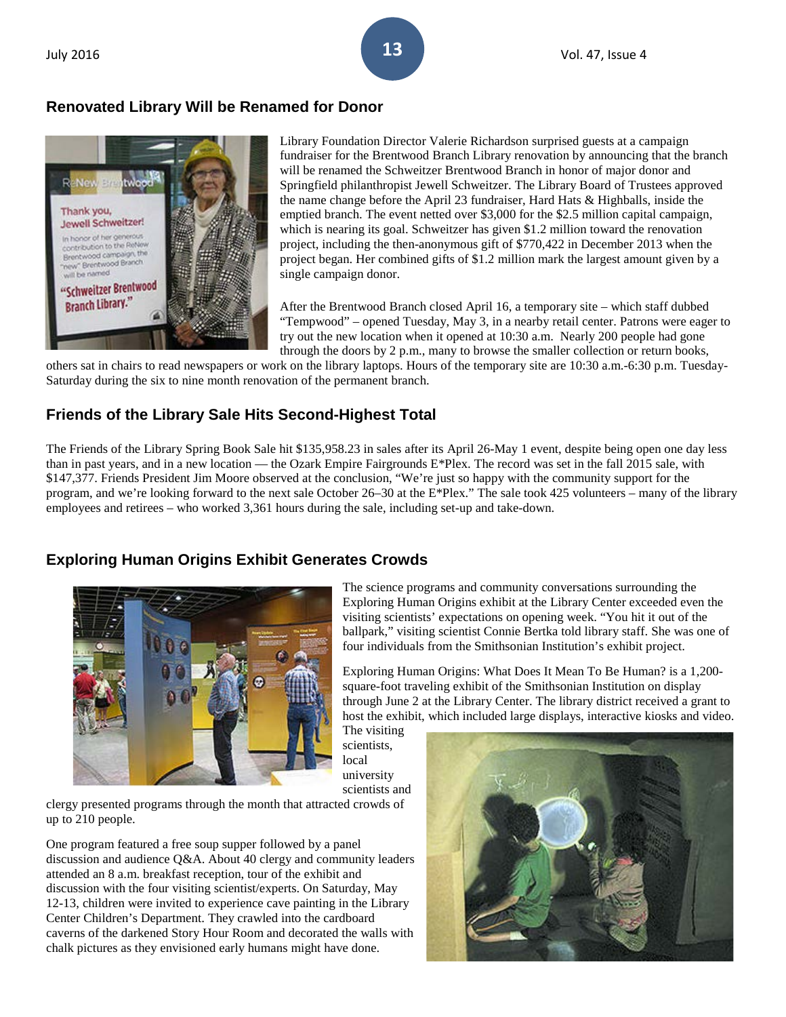# **Renovated Library Will be Renamed for Donor**



Library Foundation Director Valerie Richardson surprised guests at a campaign fundraiser for the Brentwood Branch Library renovation by announcing that the branch will be renamed the Schweitzer Brentwood Branch in honor of major donor and Springfield philanthropist Jewell Schweitzer. The Library Board of Trustees approved the name change before the April 23 fundraiser, Hard Hats & Highballs, inside the emptied branch. The event netted over \$3,000 for the \$2.5 million capital campaign, which is nearing its goal. Schweitzer has given \$1.2 million toward the renovation project, including the then-anonymous gift of \$770,422 in December 2013 when the project began. Her combined gifts of \$1.2 million mark the largest amount given by a single campaign donor.

After the Brentwood Branch closed April 16, a temporary site – which staff dubbed "Tempwood" – opened Tuesday, May 3, in a nearby retail center. Patrons were eager to try out the new location when it opened at 10:30 a.m. Nearly 200 people had gone through the doors by 2 p.m., many to browse the smaller collection or return books,

others sat in chairs to read newspapers or work on the library laptops. Hours of the temporary site are 10:30 a.m.-6:30 p.m. Tuesday-Saturday during the six to nine month renovation of the permanent branch.

# **Friends of the Library Sale Hits Second-Highest Total**

The Friends of the Library Spring Book Sale hit \$135,958.23 in sales after its April 26-May 1 event, despite being open one day less than in past years, and in a new location — the Ozark Empire Fairgrounds  $E^*$ Plex. The record was set in the fall 2015 sale, with \$147,377. Friends President Jim Moore observed at the conclusion, "We're just so happy with the community support for the program, and we're looking forward to the next sale October 26–30 at the E\*Plex." The sale took 425 volunteers – many of the library employees and retirees – who worked 3,361 hours during the sale, including set-up and take-down.

# **Exploring Human Origins Exhibit Generates Crowds**



The science programs and community conversations surrounding the Exploring Human Origins exhibit at the Library Center exceeded even the visiting scientists' expectations on opening week. "You hit it out of the ballpark," visiting scientist Connie Bertka told library staff. She was one of four individuals from the Smithsonian Institution's exhibit project.

Exploring Human Origins: What Does It Mean To Be Human? is a 1,200 square-foot traveling exhibit of the Smithsonian Institution on display through June 2 at the Library Center. The library district received a grant to host the exhibit, which included large displays, interactive kiosks and video.

The visiting scientists, local university scientists and

clergy presented programs through the month that attracted crowds of up to 210 people.

One program featured a free soup supper followed by a panel discussion and audience Q&A. About 40 clergy and community leaders attended an 8 a.m. breakfast reception, tour of the exhibit and discussion with the four visiting scientist/experts. On Saturday, May 12-13, children were invited to experience cave painting in the Library Center Children's Department. They crawled into the cardboard caverns of the darkened Story Hour Room and decorated the walls with chalk pictures as they envisioned early humans might have done.

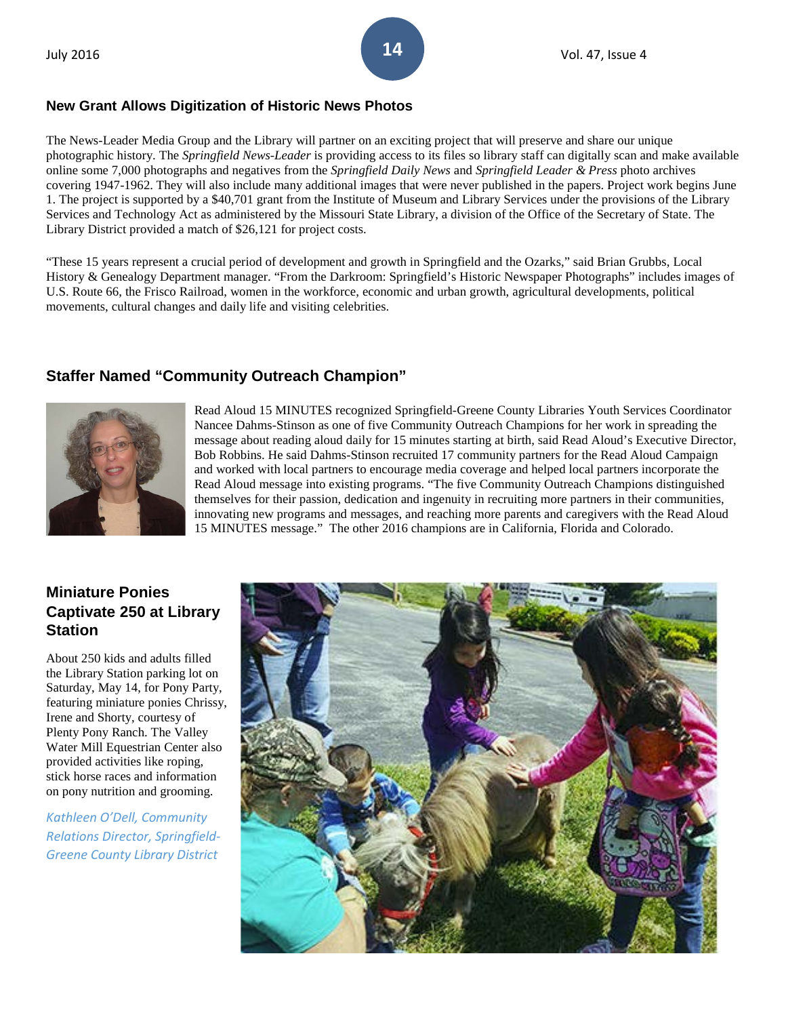### **New Grant Allows Digitization of Historic News Photos**

The News-Leader Media Group and the Library will partner on an exciting project that will preserve and share our unique photographic history. The *Springfield News-Leader* is providing access to its files so library staff can digitally scan and make available online some 7,000 photographs and negatives from the *Springfield Daily News* and *Springfield Leader & Press* photo archives covering 1947-1962. They will also include many additional images that were never published in the papers. Project work begins June 1. The project is supported by a \$40,701 grant from the Institute of Museum and Library Services under the provisions of the Library Services and Technology Act as administered by the Missouri State Library, a division of the Office of the Secretary of State. The Library District provided a match of \$26,121 for project costs.

"These 15 years represent a crucial period of development and growth in Springfield and the Ozarks," said Brian Grubbs, Local History & Genealogy Department manager. "From the Darkroom: Springfield's Historic Newspaper Photographs" includes images of U.S. Route 66, the Frisco Railroad, women in the workforce, economic and urban growth, agricultural developments, political movements, cultural changes and daily life and visiting celebrities.

# **Staffer Named "Community Outreach Champion"**



Read Aloud 15 MINUTES recognized Springfield-Greene County Libraries Youth Services Coordinator Nancee Dahms-Stinson as one of five Community Outreach Champions for her work in spreading the message about reading aloud daily for 15 minutes starting at birth, said Read Aloud's Executive Director, Bob Robbins. He said Dahms-Stinson recruited 17 community partners for the Read Aloud Campaign and worked with local partners to encourage media coverage and helped local partners incorporate the Read Aloud message into existing programs. "The five Community Outreach Champions distinguished themselves for their passion, dedication and ingenuity in recruiting more partners in their communities, innovating new programs and messages, and reaching more parents and caregivers with the Read Aloud 15 MINUTES message." The other 2016 champions are in California, Florida and Colorado.

# **Miniature Ponies Captivate 250 at Library Station**

About 250 kids and adults filled the Library Station parking lot on Saturday, May 14, for Pony Party, featuring miniature ponies Chrissy, Irene and Shorty, courtesy of Plenty Pony Ranch. The Valley Water Mill Equestrian Center also provided activities like roping, stick horse races and information on pony nutrition and grooming.

*Kathleen O'Dell, Community Relations Director, Springfield-Greene County Library District*

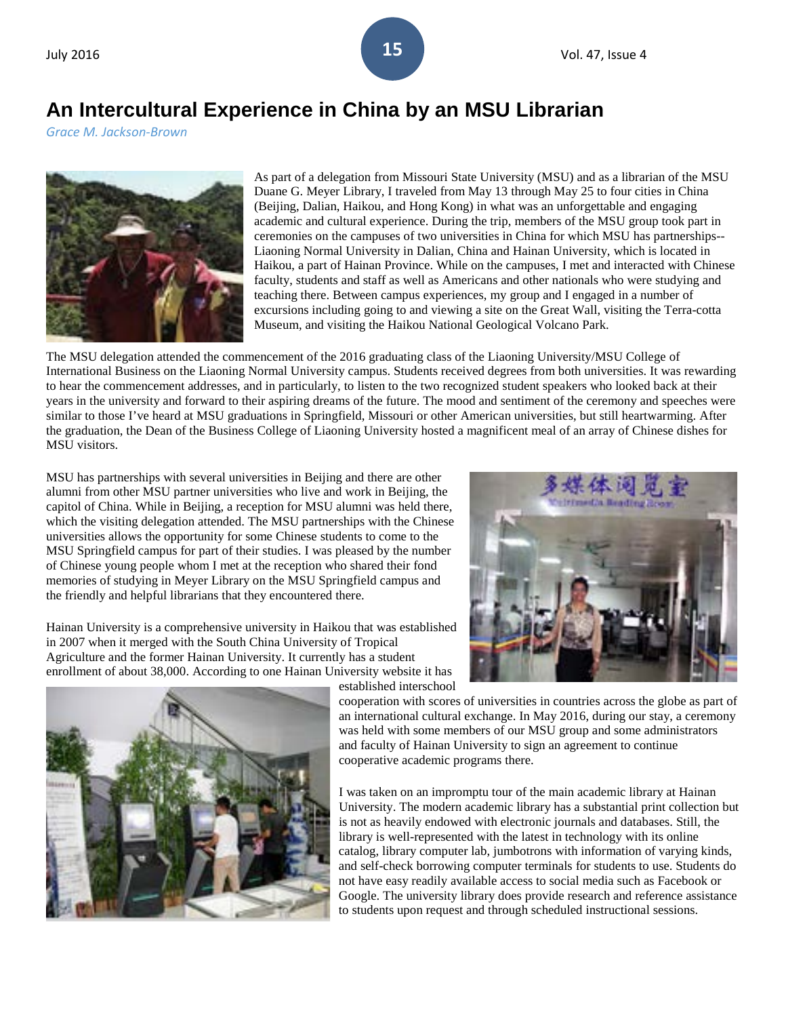# **An Intercultural Experience in China by an MSU Librarian**

*Grace M. Jackson-Brown*



As part of a delegation from Missouri State University (MSU) and as a librarian of the MSU Duane G. Meyer Library, I traveled from May 13 through May 25 to four cities in China (Beijing, Dalian, Haikou, and Hong Kong) in what was an unforgettable and engaging academic and cultural experience. During the trip, members of the MSU group took part in ceremonies on the campuses of two universities in China for which MSU has partnerships-- Liaoning Normal University in Dalian, China and Hainan University, which is located in Haikou, a part of Hainan Province. While on the campuses, I met and interacted with Chinese faculty, students and staff as well as Americans and other nationals who were studying and teaching there. Between campus experiences, my group and I engaged in a number of excursions including going to and viewing a site on the Great Wall, visiting the Terra-cotta Museum, and visiting the Haikou National Geological Volcano Park.

The MSU delegation attended the commencement of the 2016 graduating class of the Liaoning University/MSU College of International Business on the Liaoning Normal University campus. Students received degrees from both universities. It was rewarding to hear the commencement addresses, and in particularly, to listen to the two recognized student speakers who looked back at their years in the university and forward to their aspiring dreams of the future. The mood and sentiment of the ceremony and speeches were similar to those I've heard at MSU graduations in Springfield, Missouri or other American universities, but still heartwarming. After the graduation, the Dean of the Business College of Liaoning University hosted a magnificent meal of an array of Chinese dishes for MSU visitors.

MSU has partnerships with several universities in Beijing and there are other alumni from other MSU partner universities who live and work in Beijing, the capitol of China. While in Beijing, a reception for MSU alumni was held there, which the visiting delegation attended. The MSU partnerships with the Chinese universities allows the opportunity for some Chinese students to come to the MSU Springfield campus for part of their studies. I was pleased by the number of Chinese young people whom I met at the reception who shared their fond memories of studying in Meyer Library on the MSU Springfield campus and the friendly and helpful librarians that they encountered there.

Hainan University is a comprehensive university in Haikou that was established in 2007 when it merged with the South China University of Tropical Agriculture and the former Hainan University. It currently has a student enrollment of about 38,000. According to one Hainan University website it has established interschool





cooperation with scores of universities in countries across the globe as part of an international cultural exchange. In May 2016, during our stay, a ceremony was held with some members of our MSU group and some administrators and faculty of Hainan University to sign an agreement to continue cooperative academic programs there.

I was taken on an impromptu tour of the main academic library at Hainan University. The modern academic library has a substantial print collection but is not as heavily endowed with electronic journals and databases. Still, the library is well-represented with the latest in technology with its online catalog, library computer lab, jumbotrons with information of varying kinds, and self-check borrowing computer terminals for students to use. Students do not have easy readily available access to social media such as Facebook or Google. The university library does provide research and reference assistance to students upon request and through scheduled instructional sessions.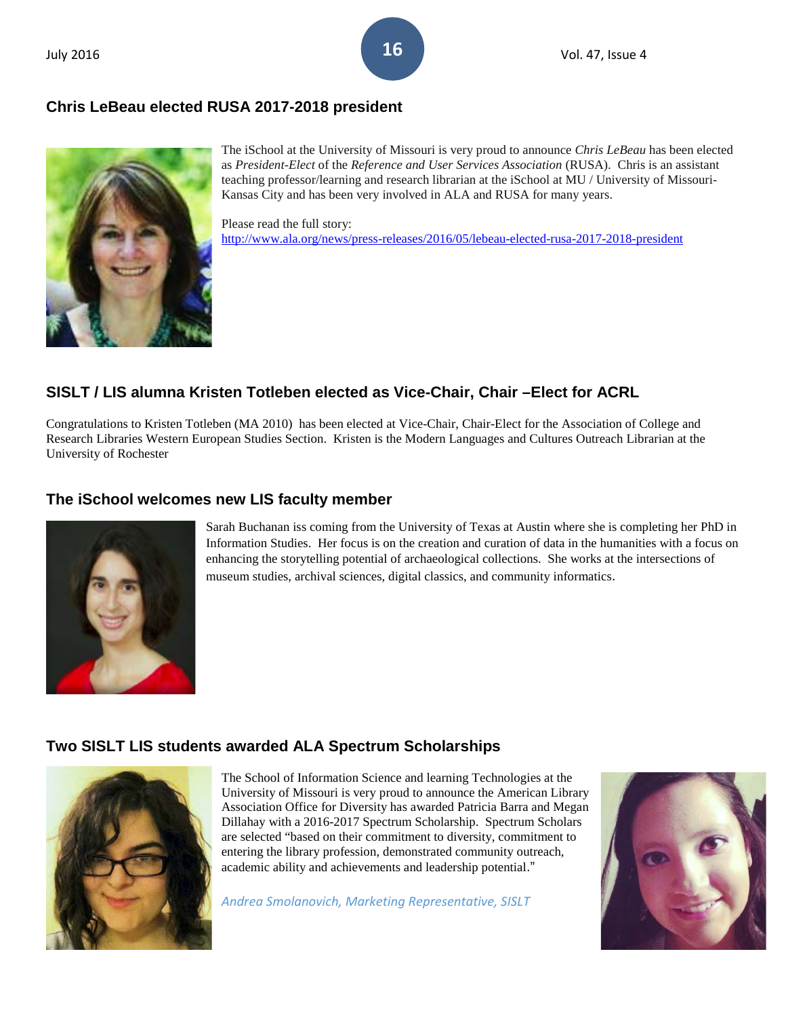# **Chris LeBeau elected RUSA 2017-2018 president**



The iSchool at the University of Missouri is very proud to announce *Chris LeBeau* has been elected as *President-Elect* of the *Reference and User Services Association* (RUSA). Chris is an assistant teaching professor/learning and research librarian at the iSchool at MU / University of Missouri-Kansas City and has been very involved in ALA and RUSA for many years.

Please read the full story: <http://www.ala.org/news/press-releases/2016/05/lebeau-elected-rusa-2017-2018-president>

# **SISLT / LIS alumna Kristen Totleben elected as Vice-Chair, Chair –Elect for ACRL**

Congratulations to Kristen Totleben (MA 2010) has been elected at Vice-Chair, Chair-Elect for the Association of College and Research Libraries Western European Studies Section. Kristen is the Modern Languages and Cultures Outreach Librarian at the University of Rochester

# **The iSchool welcomes new LIS faculty member**



Sarah Buchanan iss coming from the University of Texas at Austin where she is completing her PhD in Information Studies. Her focus is on the creation and curation of data in the humanities with a focus on enhancing the storytelling potential of archaeological collections. She works at the intersections of museum studies, archival sciences, digital classics, and community informatics.

# **Two SISLT LIS students awarded ALA Spectrum Scholarships**



The School of Information Science and learning Technologies at the University of Missouri is very proud to announce the American Library Association Office for Diversity has awarded Patricia Barra and Megan Dillahay with a 2016-2017 Spectrum Scholarship. Spectrum Scholars are selected "based on their commitment to diversity, commitment to entering the library profession, demonstrated community outreach, academic ability and achievements and leadership potential."

*Andrea Smolanovich, Marketing Representative, SISLT*